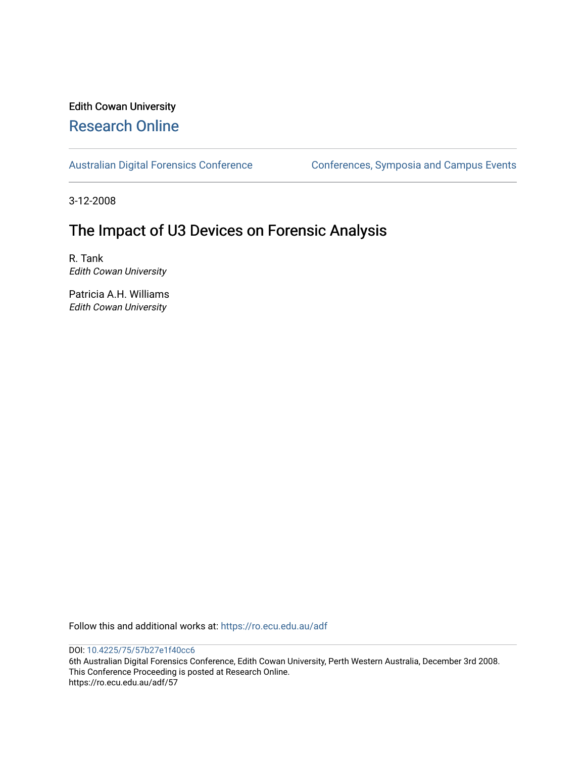# Edith Cowan University [Research Online](https://ro.ecu.edu.au/)

[Australian Digital Forensics Conference](https://ro.ecu.edu.au/adf) Conferences, Symposia and Campus Events

3-12-2008

# The Impact of U3 Devices on Forensic Analysis

R. Tank Edith Cowan University

Patricia A.H. Williams Edith Cowan University

Follow this and additional works at: [https://ro.ecu.edu.au/adf](https://ro.ecu.edu.au/adf?utm_source=ro.ecu.edu.au%2Fadf%2F57&utm_medium=PDF&utm_campaign=PDFCoverPages)

DOI: [10.4225/75/57b27e1f40cc6](https://doi.org/10.4225/75/57b27e1f40cc6) 

6th Australian Digital Forensics Conference, Edith Cowan University, Perth Western Australia, December 3rd 2008. This Conference Proceeding is posted at Research Online. https://ro.ecu.edu.au/adf/57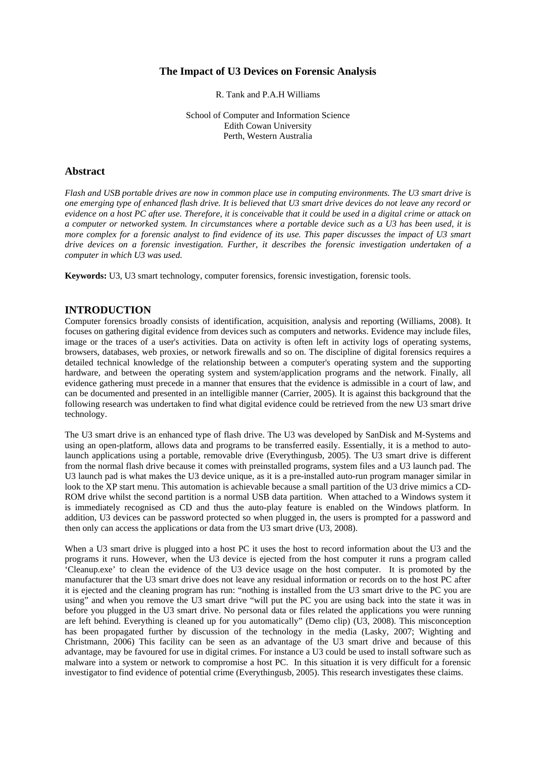## **The Impact of U3 Devices on Forensic Analysis**

R. Tank and P.A.H Williams

School of Computer and Information Science Edith Cowan University Perth, Western Australia

## **Abstract**

*Flash and USB portable drives are now in common place use in computing environments. The U3 smart drive is one emerging type of enhanced flash drive. It is believed that U3 smart drive devices do not leave any record or evidence on a host PC after use. Therefore, it is conceivable that it could be used in a digital crime or attack on a computer or networked system. In circumstances where a portable device such as a U3 has been used, it is more complex for a forensic analyst to find evidence of its use. This paper discusses the impact of U3 smart drive devices on a forensic investigation. Further, it describes the forensic investigation undertaken of a computer in which U3 was used.* 

**Keywords:** U3, U3 smart technology, computer forensics, forensic investigation, forensic tools.

## **INTRODUCTION**

Computer forensics broadly consists of identification, acquisition, analysis and reporting (Williams, 2008). It focuses on gathering digital evidence from devices such as computers and networks. Evidence may include files, image or the traces of a user's activities. Data on activity is often left in activity logs of operating systems, browsers, databases, web proxies, or network firewalls and so on. The discipline of digital forensics requires a detailed technical knowledge of the relationship between a computer's operating system and the supporting hardware, and between the operating system and system/application programs and the network. Finally, all evidence gathering must precede in a manner that ensures that the evidence is admissible in a court of law, and can be documented and presented in an intelligible manner (Carrier, 2005). It is against this background that the following research was undertaken to find what digital evidence could be retrieved from the new U3 smart drive technology.

The U3 smart drive is an enhanced type of flash drive. The U3 was developed by SanDisk and M-Systems and using an open-platform, allows data and programs to be transferred easily. Essentially, it is a method to autolaunch applications using a portable, removable drive (Everythingusb, 2005). The U3 smart drive is different from the normal flash drive because it comes with preinstalled programs, system files and a U3 launch pad. The U3 launch pad is what makes the U3 device unique, as it is a pre-installed auto-run program manager similar in look to the XP start menu. This automation is achievable because a small partition of the U3 drive mimics a CD-ROM drive whilst the second partition is a normal USB data partition. When attached to a Windows system it is immediately recognised as CD and thus the auto-play feature is enabled on the Windows platform. In addition, U3 devices can be password protected so when plugged in, the users is prompted for a password and then only can access the applications or data from the U3 smart drive (U3, 2008).

When a U3 smart drive is plugged into a host PC it uses the host to record information about the U3 and the programs it runs. However, when the U3 device is ejected from the host computer it runs a program called 'Cleanup.exe' to clean the evidence of the U3 device usage on the host computer. It is promoted by the manufacturer that the U3 smart drive does not leave any residual information or records on to the host PC after it is ejected and the cleaning program has run: "nothing is installed from the U3 smart drive to the PC you are using" and when you remove the U3 smart drive "will put the PC you are using back into the state it was in before you plugged in the U3 smart drive. No personal data or files related the applications you were running are left behind. Everything is cleaned up for you automatically" (Demo clip) (U3, 2008). This misconception has been propagated further by discussion of the technology in the media (Lasky, 2007; Wighting and Christmann, 2006) This facility can be seen as an advantage of the U3 smart drive and because of this advantage, may be favoured for use in digital crimes. For instance a U3 could be used to install software such as malware into a system or network to compromise a host PC. In this situation it is very difficult for a forensic investigator to find evidence of potential crime (Everythingusb, 2005). This research investigates these claims.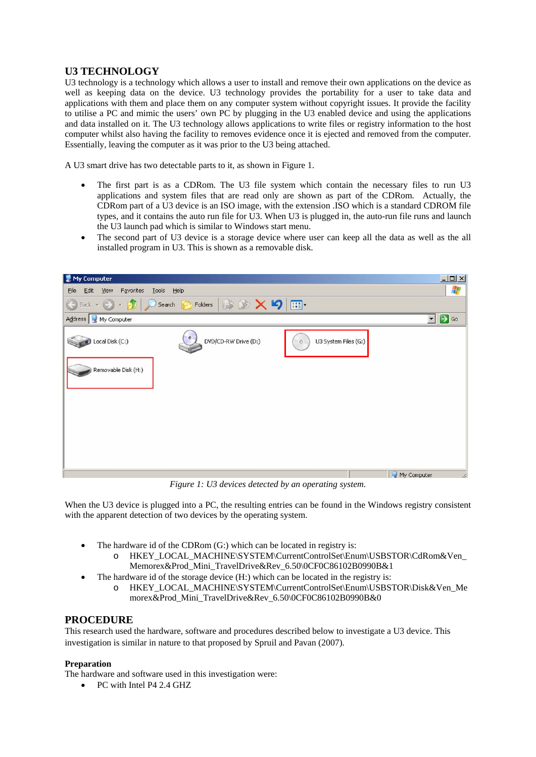## **U3 TECHNOLOGY**

U3 technology is a technology which allows a user to install and remove their own applications on the device as well as keeping data on the device. U3 technology provides the portability for a user to take data and applications with them and place them on any computer system without copyright issues. It provide the facility to utilise a PC and mimic the users' own PC by plugging in the U3 enabled device and using the applications and data installed on it. The U3 technology allows applications to write files or registry information to the host computer whilst also having the facility to removes evidence once it is ejected and removed from the computer. Essentially, leaving the computer as it was prior to the U3 being attached.

A U3 smart drive has two detectable parts to it, as shown in Figure 1.

- The first part is as a CDRom. The U3 file system which contain the necessary files to run U3 applications and system files that are read only are shown as part of the CDRom. Actually, the CDRom part of a U3 device is an ISO image, with the extension .ISO which is a standard CDROM file types, and it contains the auto run file for U3. When U3 is plugged in, the auto-run file runs and launch the U3 launch pad which is similar to Windows start menu.
- The second part of U3 device is a storage device where user can keep all the data as well as the all installed program in U3. This is shown as a removable disk.



*Figure 1: U3 devices detected by an operating system.* 

When the U3 device is plugged into a PC, the resulting entries can be found in the Windows registry consistent with the apparent detection of two devices by the operating system.

- The hardware id of the CDRom (G:) which can be located in registry is:
	- o HKEY\_LOCAL\_MACHINE\SYSTEM\CurrentControlSet\Enum\USBSTOR\CdRom&Ven\_ Memorex&Prod\_Mini\_TravelDrive&Rev\_6.50\0CF0C86102B0990B&1
- The hardware id of the storage device  $(H)$ ; which can be located in the registry is:
	- o HKEY\_LOCAL\_MACHINE\SYSTEM\CurrentControlSet\Enum\USBSTOR\Disk&Ven\_Me morex&Prod\_Mini\_TravelDrive&Rev\_6.50\0CF0C86102B0990B&0

## **PROCEDURE**

This research used the hardware, software and procedures described below to investigate a U3 device. This investigation is similar in nature to that proposed by Spruil and Pavan (2007).

## **Preparation**

The hardware and software used in this investigation were:

• PC with Intel P4 2.4 GHZ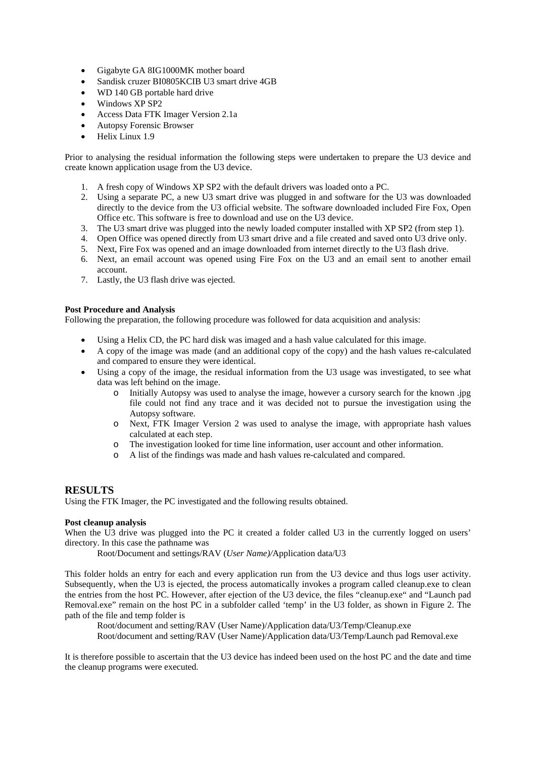- Gigabyte GA 8IG1000MK mother board
- Sandisk cruzer BI0805KCIB U3 smart drive 4GB
- WD 140 GB portable hard drive
- Windows XP SP2
- Access Data FTK Imager Version 2.1a
- Autopsy Forensic Browser
- Helix Linux 1.9

Prior to analysing the residual information the following steps were undertaken to prepare the U3 device and create known application usage from the U3 device.

- 1. A fresh copy of Windows XP SP2 with the default drivers was loaded onto a PC.
- 2. Using a separate PC, a new U3 smart drive was plugged in and software for the U3 was downloaded directly to the device from the U3 official website. The software downloaded included Fire Fox, Open Office etc. This software is free to download and use on the U3 device.
- 3. The U3 smart drive was plugged into the newly loaded computer installed with XP SP2 (from step 1).
- 4. Open Office was opened directly from U3 smart drive and a file created and saved onto U3 drive only.
- 5. Next, Fire Fox was opened and an image downloaded from internet directly to the U3 flash drive.
- 6. Next, an email account was opened using Fire Fox on the U3 and an email sent to another email account.
- 7. Lastly, the U3 flash drive was ejected.

#### **Post Procedure and Analysis**

Following the preparation, the following procedure was followed for data acquisition and analysis:

- Using a Helix CD, the PC hard disk was imaged and a hash value calculated for this image.
- A copy of the image was made (and an additional copy of the copy) and the hash values re-calculated and compared to ensure they were identical.
- Using a copy of the image, the residual information from the U3 usage was investigated, to see what data was left behind on the image.
	- o Initially Autopsy was used to analyse the image, however a cursory search for the known .jpg file could not find any trace and it was decided not to pursue the investigation using the Autopsy software.
	- o Next, FTK Imager Version 2 was used to analyse the image, with appropriate hash values calculated at each step.
	- o The investigation looked for time line information, user account and other information.
	- o A list of the findings was made and hash values re-calculated and compared.

#### **RESULTS**

Using the FTK Imager, the PC investigated and the following results obtained.

#### **Post cleanup analysis**

When the U3 drive was plugged into the PC it created a folder called U3 in the currently logged on users' directory. In this case the pathname was

Root/Document and settings/RAV (*User Name)/*Application data/U3

This folder holds an entry for each and every application run from the U3 device and thus logs user activity. Subsequently, when the U3 is ejected, the process automatically invokes a program called cleanup.exe to clean the entries from the host PC. However, after ejection of the U3 device, the files "cleanup.exe" and "Launch pad Removal.exe" remain on the host PC in a subfolder called 'temp' in the U3 folder, as shown in Figure 2. The path of the file and temp folder is

Root/document and setting/RAV (User Name)/Application data/U3/Temp/Cleanup.exe Root/document and setting/RAV (User Name)/Application data/U3/Temp/Launch pad Removal.exe

It is therefore possible to ascertain that the U3 device has indeed been used on the host PC and the date and time the cleanup programs were executed.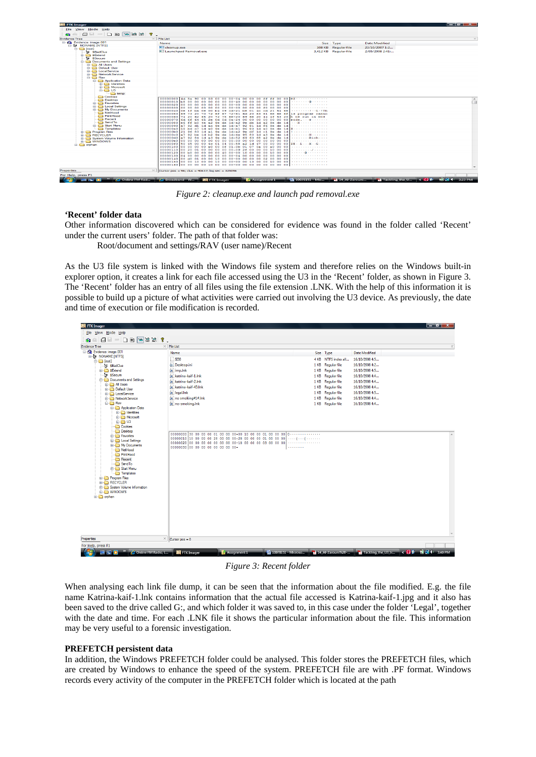| 面面上口口面宽弱<br><b>Evidence Tree</b>              | $\times$ File List                                                                                                   |                                                                                     |                                          |  |
|-----------------------------------------------|----------------------------------------------------------------------------------------------------------------------|-------------------------------------------------------------------------------------|------------------------------------------|--|
| Evidence: image.001                           | Name                                                                                                                 |                                                                                     | Size Type<br><b>Date Modified</b>        |  |
| <b>EL IN NONAME INTEST</b>                    | <b>Will cleanup.exe</b>                                                                                              |                                                                                     | 108 KB Regular file<br>23/10/2007 1:2    |  |
| <b>E-Ca</b> froot                             | <b>Ell Launchoad Removal.exe</b>                                                                                     |                                                                                     |                                          |  |
| Tre SBadClus                                  |                                                                                                                      |                                                                                     | 3.412 KB Regular file<br>2/05/2008 2:41: |  |
| <b>Extend</b><br>Tu SSecure                   |                                                                                                                      |                                                                                     |                                          |  |
| <b>Documents and Settings</b>                 |                                                                                                                      |                                                                                     |                                          |  |
| <b>Birthda All Users</b>                      |                                                                                                                      |                                                                                     |                                          |  |
| <b>Good Default User</b>                      |                                                                                                                      |                                                                                     |                                          |  |
| <b>Bi-Ca</b> LocalService                     |                                                                                                                      |                                                                                     |                                          |  |
| <b>Co. Network Service</b>                    |                                                                                                                      |                                                                                     |                                          |  |
| <b>BRACK</b> Ray                              |                                                                                                                      |                                                                                     |                                          |  |
| <b>Application Data</b>                       |                                                                                                                      |                                                                                     |                                          |  |
| <b>Bill Identities</b><br><b>ED</b> Microsoft |                                                                                                                      |                                                                                     |                                          |  |
| $\Rightarrow$ $\Rightarrow$ $\cup$ 3          |                                                                                                                      |                                                                                     |                                          |  |
| <b>C</b> temp                                 |                                                                                                                      |                                                                                     |                                          |  |
| <b>Cookies</b>                                |                                                                                                                      |                                                                                     |                                          |  |
| <b>Desktop</b>                                | 00000010 bs 00 00 00 00 00 00 00-40 00 00                                                                            | 00000000 4d 5a 90 00 03 00 00 00-04 00 00 00 ff ff 00 00 MZ<br>000000               |                                          |  |
| <b>El-Ca</b> Favorites                        | 00000020 00 00 00 00 00 00 00 00-00 00 00                                                                            | 00<br>00<br>00 00<br>00 00 00<br>.                                                  |                                          |  |
| <b>El Local Settings</b>                      | 00000030 00 00 00 00 00 00 00 00-00 00 00                                                                            | 00 00 00<br>.<br>00<br>£0.                                                          |                                          |  |
| <b>ED</b> My Documents                        | 00000040 0e 1f ba 0e 00 b4 09 cd-21 b8 01 4c                                                                         | contracted and the CT and The<br>21 54 68<br><b>COL</b>                             |                                          |  |
| NetHood<br>PrintHood                          | 00000050 69 73 20<br>70.<br>72 6f<br>$67.72 - 61$                                                                    | is program canno<br>-64<br>20.<br>63.<br>61<br>66<br>66.<br>6£                      |                                          |  |
| <b>Recent</b>                                 | 00000060 74 20<br>62<br>20.<br>65.<br>72<br>75<br>$60 - 20$<br>65.                                                   | 20<br>4f 53 20 k be run in DOS<br>69<br>6e<br>nn.<br>nn.                            |                                          |  |
| Send To                                       | 00000070 6d 6f 64<br>2 <sub>c</sub><br>$0d$ $0a-24$ 00<br>0d<br>52<br>9 <sub>c</sub><br>$de$ $1d-a2$                 | <b>OO</b><br>1d.<br>$d = 1d$<br>. <b>N</b><br>9er-<br>de.                           |                                          |  |
| <b>El Call Start Menu</b>                     | 00000090 a7 92 d1 1d<br>ac 9e de 1d-a7 92 81                                                                         | 1d<br>$9m$ de $1d$                                                                  |                                          |  |
| Templates                                     | 000000a0 58 bd c7 1d a0 9e de 1d-b1 96 83                                                                            | $1d$ $A0$<br>$9e$ de $1d$                                                           |                                          |  |
| <b>Call Program Files</b>                     | 000000b0 21 96 83 1d a1 9e de 1d-a2 9e df 1d                                                                         | $9e$ de $1d$<br>1<br>$_{c1}$                                                        |                                          |  |
| <b>E RECYCLER</b>                             | 000000c0 a7 92 be 1d b2 9e de 1d-4e 95 80 1d                                                                         | de 1d<br>. <b>N</b><br>Get.<br>a3<br><b>Contract Catalogue</b>                      |                                          |  |
| <b>El System Volume Information</b>           | 000000d0 a7 92 84 1d a3 9e<br>$de$ $1d-52$<br>000000e0 00 00 00 00 00 00 00 00-00 00 00                              | $de$ $1d$<br>-69<br>63<br>68<br>9 <sub>c</sub><br>a2<br>.<br>nn.<br>nn.<br>00.00.00 |                                          |  |
| <b>ED WINDOWS</b><br><b>ELECT</b> orphan      | 00000000 50 45 00 00 40 01 04 00-58 a2 1d                                                                            | 00 00 00 FE - - L - - - X - - G - - - -<br>47 00                                    |                                          |  |
|                                               | 00000100 00 00 00 00<br>e000<br>$0f$ $01-0b$                                                                         | .<br>O <sub>1</sub><br>a0 00 00<br>07<br>oo.<br>Date:                               |                                          |  |
|                                               | 00000110 00 20 01 00 00 00 00 00-09 2f 00                                                                            | .<br>nn<br>00 10 00 00                                                              |                                          |  |
|                                               | 00000120 00 b0 00 00 00 00 40 00-00 10                                                                               | 10 00 00<br>00<br>00<br>00<br>.                                                     |                                          |  |
|                                               | 00000130 04 00 00 00 00 00 00 00-04 00 00 00 00 00 00 00<br>00000140 00 d0 01 00 00 10 00 00-00 00 00 00 02 00 00 00 | .                                                                                   |                                          |  |
|                                               | 00000150 00 00 10 00 00 10 00 00-00 00 10 00 00 10 00 00                                                             | .                                                                                   |                                          |  |
|                                               |                                                                                                                      |                                                                                     |                                          |  |
|                                               |                                                                                                                      |                                                                                     |                                          |  |
| Properties                                    | $\times$ Cursor pos = 96; dus = 40637; log sec = 325096                                                              |                                                                                     |                                          |  |

*Figure 2: cleanup.exe and launch pad removal.exe* 

#### **'Recent' folder data**

Other information discovered which can be considered for evidence was found in the folder called 'Recent' under the current users' folder. The path of that folder was:

Root/document and settings/RAV (user name)/Recent

As the U3 file system is linked with the Windows file system and therefore relies on the Windows built-in explorer option, it creates a link for each file accessed using the U3 in the 'Recent' folder, as shown in Figure 3. The 'Recent' folder has an entry of all files using the file extension .LNK. With the help of this information it is possible to build up a picture of what activities were carried out involving the U3 device. As previously, the date and time of execution or file modification is recorded.



*Figure 3: Recent folder* 

When analysing each link file dump, it can be seen that the information about the file modified. E.g. the file name Katrina-kaif-1.lnk contains information that the actual file accessed is Katrina-kaif-1.jpg and it also has been saved to the drive called G:, and which folder it was saved to, in this case under the folder 'Legal', together with the date and time. For each .LNK file it shows the particular information about the file. This information may be very useful to a forensic investigation.

#### **PREFETCH persistent data**

In addition, the Windows PREFETCH folder could be analysed. This folder stores the PREFETCH files, which are created by Windows to enhance the speed of the system. PREFETCH file are with .PF format. Windows records every activity of the computer in the PREFETCH folder which is located at the path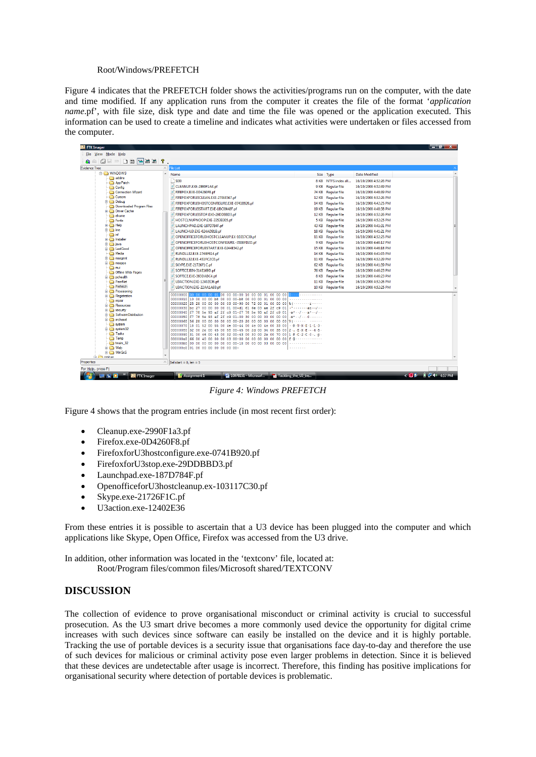#### Root/Windows/PREFETCH

Figure 4 indicates that the PREFETCH folder shows the activities/programs run on the computer, with the date and time modified. If any application runs from the computer it creates the file of the format '*application name*.pf', with file size, disk type and date and time the file was opened or the application executed. This information can be used to create a timeline and indicates what activities were undertaken or files accessed from the computer.

| <b>EX</b> FTK Imager          |                  |                                                                                                                        |                                                             |                     |                       | $\begin{array}{ c c c }\n\hline\n\hline\n\end{array}$ of $\begin{array}{ c c c }\n\hline\n\end{array}$ |  |
|-------------------------------|------------------|------------------------------------------------------------------------------------------------------------------------|-------------------------------------------------------------|---------------------|-----------------------|--------------------------------------------------------------------------------------------------------|--|
| File View Mode Help           |                  |                                                                                                                        |                                                             |                     |                       |                                                                                                        |  |
| 图 ■ □ □ ■ ■ ■ ■ ■<br>Ġ1<br>Ω  | $\mathbf{R}$ .   |                                                                                                                        |                                                             |                     |                       |                                                                                                        |  |
| <b>Evidence Tree</b>          | $\times$         | File List                                                                                                              |                                                             |                     |                       |                                                                                                        |  |
| <b>E-P WINDOWS</b>            | $\blacktriangle$ | Name                                                                                                                   |                                                             | Size Type           | <b>Date Modified</b>  |                                                                                                        |  |
| addins                        |                  | $\sqrt{S}$                                                                                                             | <b>8 KB</b>                                                 | NTFS index all      | 16/10/2008 4:52:26 PM |                                                                                                        |  |
| AppPatch                      |                  | CLEANUP.EXE-2990F1A3.pf                                                                                                |                                                             |                     |                       |                                                                                                        |  |
| Config                        |                  |                                                                                                                        | 9 KB                                                        | <b>Regular file</b> | 16/10/2008 4:52:39 PM |                                                                                                        |  |
| Connection Wizard<br>Cursors  |                  | FIREFOX.EXE-0D4260F8.pf                                                                                                | <b>74 KB</b>                                                | <b>Reqular file</b> | 16/10/2008 4:48:39 PM |                                                                                                        |  |
| <b>B</b> Debug                |                  | FIREFOXFORU3CLEAN.EXE-27E6E567.pf                                                                                      | 12 KB                                                       | <b>Regular file</b> | 16/10/2008 4:52:26 PM |                                                                                                        |  |
| Downloaded Program Files      |                  | FIREFOXFORU3HOSTCONFIGURE.EXE-0741B920.pf                                                                              | <b>14 KB</b>                                                | <b>Regular file</b> | 16/10/2008 4:42:25 PM |                                                                                                        |  |
| <b>Driver Cache</b>           |                  | FIREFOXFORU3START.EXE-1BC09A8F.pf                                                                                      | <b>19 KB</b>                                                | <b>Reqular file</b> | 16/10/2008 4:48:38 PM |                                                                                                        |  |
| ehome                         |                  | FIREFOXFORU3STOP.EXE-29DDBBD3.pf                                                                                       | <b>12 KB</b>                                                | <b>Reqular file</b> | 16/10/2008 4:52:26 PM |                                                                                                        |  |
| <b>Ch</b> Fonts               |                  | HOSTCLNUPNOOP.EXE-3353B305.pf                                                                                          | <b>5 KB</b>                                                 | Regular file        | 16/10/2008 4:52:25 PM |                                                                                                        |  |
| <b>ED</b> Help                |                  | LAUNCHPAD.EXE-187D784F.pf                                                                                              | 43 KB                                                       | <b>Regular file</b> | 16/10/2008 4:41:31 PM |                                                                                                        |  |
| in a ime                      |                  | LAUNCHU3.EXE-024AD91B.pf                                                                                               | <b>18 KB</b>                                                | <b>Reqular file</b> | 16/10/2008 4:41:21 PM |                                                                                                        |  |
| <b>Ca</b> inf                 |                  | CPENOFFICEFORU3HOSTCLEANUP.EX-10317C30.pf                                                                              | <b>11 KB</b>                                                | <b>Reqular file</b> | 16/10/2008 4:52:25 PM |                                                                                                        |  |
| in <b>in Installer</b>        |                  | OPENOFFICEFORU3HOSTCONFIGURE.-350BFD2D.pf                                                                              | 9 KB                                                        | <b>Reqular file</b> | 16/10/2008 4:46:12 PM |                                                                                                        |  |
| in ava                        |                  |                                                                                                                        |                                                             |                     |                       |                                                                                                        |  |
| <b>El LastGood</b>            |                  | OPENOFFICEFORU3START.EXE-0244E542.pf                                                                                   | <b>15 KB</b>                                                | <b>Reqular file</b> | 16/10/2008 4:46:18 PM |                                                                                                        |  |
| Media<br>in msagent           |                  | RUNDLL32.EXE-174BF814.pf                                                                                               | <b>14 KB</b>                                                | <b>Reqular file</b> | 16/10/2008 4:41:05 PM |                                                                                                        |  |
| <b>EL msapps</b>              |                  | RUNDLL32.EXE-451FC2C0.pf                                                                                               | <b>11 KB</b>                                                | <b>Reqular file</b> | 16/10/2008 4:52:29 PM |                                                                                                        |  |
| amui                          |                  | SKYPE.EXE-21726F1C.pf                                                                                                  |                                                             | 62 KB Regular file  | 16/10/2008 4:41:39 PM |                                                                                                        |  |
| Offline Web Pages             |                  | SOFFICE.BIN-314E169D.pf                                                                                                |                                                             | 76 KB Regular file  | 16/10/2008 4:46:23 PM |                                                                                                        |  |
| iii in pchealth               |                  | SOFFICE.EXE-393DABC4.pf                                                                                                | <b>8 KB</b>                                                 | <b>Reqular file</b> | 16/10/2008 4:46:23 PM |                                                                                                        |  |
| PeerNet                       |                  | U3ACTION.EXE-12402E36.pf                                                                                               | <b>11 KB</b>                                                | <b>Regular file</b> | 16/10/2008 4:52:26 PM |                                                                                                        |  |
| Prefetch                      |                  | U3ACTION.EXE-22AA1A93.pf                                                                                               |                                                             | 10 KB Regular file  | 16/10/2008 4:52:25 PM |                                                                                                        |  |
| <b>Provisioning</b>           |                  |                                                                                                                        |                                                             |                     |                       |                                                                                                        |  |
| <b>E</b> Registration         |                  | 00000000 30 00 00 00 01 00 00 00-00 10 00 00 01 00 00 00                                                               |                                                             |                     |                       |                                                                                                        |  |
| <b>Co</b> repair              |                  | 00000010110 00 00 00 b8 00 00 00-b8 00 00 00 01 00 00 00                                                               |                                                             |                     |                       |                                                                                                        |  |
| <b>ED</b> Resources           |                  | 00000020 25 28 00 00 00 00 03 00-90 00 72 00 01 00 00 00<br>00000030 bc 27 00 00 00 00 01 00-d1 61 6e 03 ae 2f<br>c901 | $\frac{1}{2}$ ( $\cdots$                                    |                     |                       |                                                                                                        |  |
| <b>E</b> security             |                  | 00000040 f7 78 5e 93 af 2f c9 01-f7 78 5e 93 af 2f c9 01                                                               | $-3x^2 - 1 - 1 - 3x^2 - 1 - 1$                              |                     |                       |                                                                                                        |  |
| SoftwareDistribution          |                  | 00000050 f7 78 5e 93 af 2f c9 01-00<br>30 00 00 00 00<br>00<br>00                                                      | $-80 - 1 - 1 - 0 - 1 - 1$                                   |                     |                       |                                                                                                        |  |
| <b>E</b> srchasst             |                  | 00000060 56 28 00 00 00 00 00 00-20 20 00 00 00 00 00 00                                                               |                                                             |                     |                       |                                                                                                        |  |
| system                        |                  | 00000070 18 01 52 00 55 00 4e 00-44 00 4c 00 4c 00 33<br>00                                                            | $\cdots$ R +U +N +B +L +L +3                                |                     |                       |                                                                                                        |  |
| E system32                    |                  | 00000080 32 00 2e 00 45 00 58 00-45 00 2d 00 34 00 35 00                                                               | $2 + 1 + E + X + E + 1 + 4 + 5$                             |                     |                       |                                                                                                        |  |
| Tasks                         |                  | 00000090 31 00 46 00 43 00 32 00-43 00 30 00 2e 00 70 00                                                               | $1 \cdot F \cdot C \cdot 2 \cdot C \cdot 0 \cdot 1 \cdot D$ |                     |                       |                                                                                                        |  |
| Temp                          |                  | 000000a0 66 00 40 00 00 00 03 00-00 00 00 00 00 00 00 00                                                               |                                                             |                     |                       |                                                                                                        |  |
| twain 32<br><b>E</b> Web      |                  | 000000b0 00 00 00 00 00 00 00 00-18 00 00 00 03 00 00 00<br>000000c0 01 00 00 00 00 00 00 00-                          |                                                             |                     |                       |                                                                                                        |  |
| <b>Communication</b> WinSxS   |                  |                                                                                                                        |                                                             |                     |                       |                                                                                                        |  |
| <b>Call Comban</b>            |                  |                                                                                                                        |                                                             |                     |                       |                                                                                                        |  |
| Properties                    |                  | $\times$ Sel start = 0, len = 5                                                                                        |                                                             |                     |                       |                                                                                                        |  |
|                               |                  |                                                                                                                        |                                                             |                     |                       |                                                                                                        |  |
| For Help, press F1            |                  |                                                                                                                        |                                                             |                     |                       |                                                                                                        |  |
| 3 S D<br><b>IN</b> FTK Imager |                  | <b>Assignment 1</b><br>20 10078151 - Microsof                                                                          | Tackling the U3 tre                                         |                     |                       | $\left( 0 + 10 + 4.57 \right)$ M                                                                       |  |

*Figure 4: Windows PREFETCH* 

Figure 4 shows that the program entries include (in most recent first order):

- Cleanup.exe-2990F1a3.pf
- Firefox.exe-0D4260F8.pf
- FirefoxforU3hostconfigure.exe-0741B920.pf
- FirefoxforU3stop.exe-29DDBBD3.pf
- Launchpad.exe-187D784F.pf
- OpenofficeforU3hostcleanup.ex-103117C30.pf
- Skype.exe-21726F1C.pf
- U3action.exe-12402E36

From these entries it is possible to ascertain that a U3 device has been plugged into the computer and which applications like Skype, Open Office, Firefox was accessed from the U3 drive.

In addition, other information was located in the 'textconv' file, located at:

Root/Program files/common files/Microsoft shared/TEXTCONV

## **DISCUSSION**

The collection of evidence to prove organisational misconduct or criminal activity is crucial to successful prosecution. As the U3 smart drive becomes a more commonly used device the opportunity for digital crime increases with such devices since software can easily be installed on the device and it is highly portable. Tracking the use of portable devices is a security issue that organisations face day-to-day and therefore the use of such devices for malicious or criminal activity pose even larger problems in detection. Since it is believed that these devices are undetectable after usage is incorrect. Therefore, this finding has positive implications for organisational security where detection of portable devices is problematic.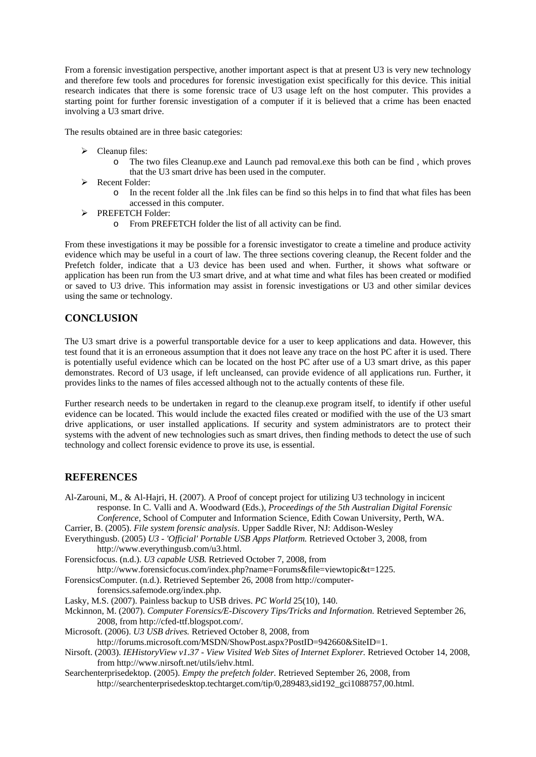From a forensic investigation perspective, another important aspect is that at present U3 is very new technology and therefore few tools and procedures for forensic investigation exist specifically for this device. This initial research indicates that there is some forensic trace of U3 usage left on the host computer. This provides a starting point for further forensic investigation of a computer if it is believed that a crime has been enacted involving a U3 smart drive.

The results obtained are in three basic categories:

- $\triangleright$  Cleanup files:
	- o The two files Cleanup.exe and Launch pad removal.exe this both can be find , which proves that the U3 smart drive has been used in the computer.
- $\triangleright$  Recent Folder:
	- o In the recent folder all the .lnk files can be find so this helps in to find that what files has been accessed in this computer.
- ¾ PREFETCH Folder:
	- o From PREFETCH folder the list of all activity can be find.

From these investigations it may be possible for a forensic investigator to create a timeline and produce activity evidence which may be useful in a court of law. The three sections covering cleanup, the Recent folder and the Prefetch folder, indicate that a U3 device has been used and when. Further, it shows what software or application has been run from the U3 smart drive, and at what time and what files has been created or modified or saved to U3 drive. This information may assist in forensic investigations or U3 and other similar devices using the same or technology.

## **CONCLUSION**

The U3 smart drive is a powerful transportable device for a user to keep applications and data. However, this test found that it is an erroneous assumption that it does not leave any trace on the host PC after it is used. There is potentially useful evidence which can be located on the host PC after use of a U3 smart drive, as this paper demonstrates. Record of U3 usage, if left uncleansed, can provide evidence of all applications run. Further, it provides links to the names of files accessed although not to the actually contents of these file.

Further research needs to be undertaken in regard to the cleanup.exe program itself, to identify if other useful evidence can be located. This would include the exacted files created or modified with the use of the U3 smart drive applications, or user installed applications. If security and system administrators are to protect their systems with the advent of new technologies such as smart drives, then finding methods to detect the use of such technology and collect forensic evidence to prove its use, is essential.

## **REFERENCES**

- Al-Zarouni, M., & Al-Hajri, H. (2007). A Proof of concept project for utilizing U3 technology in incicent response. In C. Valli and A. Woodward (Eds.), *Proceedings of the 5th Australian Digital Forensic Conference*, School of Computer and Information Science, Edith Cowan University, Perth, WA.
- Carrier, B. (2005). *File system forensic analysis*. Upper Saddle River, NJ: Addison-Wesley
- Everythingusb. (2005) *U3 'Official' Portable USB Apps Platform.* Retrieved October 3, 2008, from http://www.everythingusb.com/u3.html.

Forensicfocus. (n.d.). *U3 capable USB.* Retrieved October 7, 2008, from

http://www.forensicfocus.com/index.php?name=Forums&file=viewtopic&t=1225.

ForensicsComputer. (n.d.). Retrieved September 26, 2008 from http://computer-

- forensics.safemode.org/index.php.
- Lasky, M.S. (2007). Painless backup to USB drives. *PC World* 25(10), 140.
- Mckinnon, M. (2007). *Computer Forensics/E-Discovery Tips/Tricks and Information.* Retrieved September 26, 2008, from http://cfed-ttf.blogspot.com/.
- Microsoft. (2006). *U3 USB drives.* Retrieved October 8, 2008, from
- http://forums.microsoft.com/MSDN/ShowPost.aspx?PostID=942660&SiteID=1.
- Nirsoft. (2003). *IEHistoryView v1.37 View Visited Web Sites of Internet Explorer.* Retrieved October 14, 2008, from http://www.nirsoft.net/utils/iehv.html.
- Searchenterprisedektop. (2005). *Empty the prefetch folder.* Retrieved September 26, 2008, from http://searchenterprisedesktop.techtarget.com/tip/0,289483,sid192\_gci1088757,00.html.